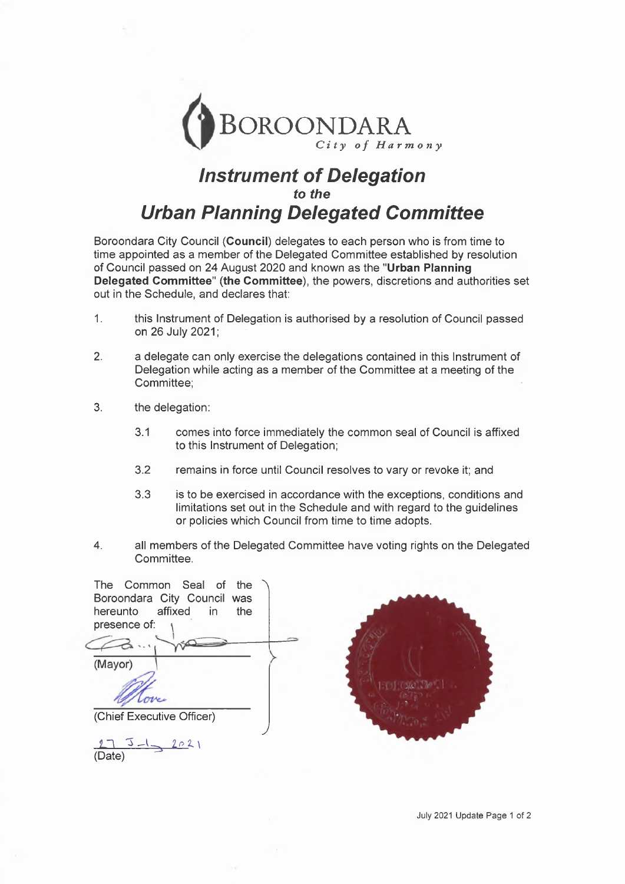

## *Instrument of Delegation to the Urban Planning Delegated Committee*

Boroondara City Council **(Council)** delegates to each person who is from time to time appointed as a member of the Delegated Committee established by resolution of Council passed on 24 August 2020 and known as the **"Urban Planning Delegated Committee" (the Committee),** the powers, discretions and authorities set out in the Schedule, and declares that:

- 1. this Instrument of Delegation is authorised by a resolution of Council passed on 26 July 2021;
- 2. a delegate can only exercise the delegations contained in this Instrument of Delegation while acting as a member of the Committee at a meeting of the Committee;
- 3. the delegation:
	- 3.1 comes into force immediately the common seal of Council is affixed to this Instrument of Delegation;
	- 3.2 remains in force until Council resolves to vary or revoke it; and
	- 3.3 is to be exercised in accordance with the exceptions, conditions and limitations set out in the Schedule and with regard to the guidelines or policies which Council from time to time adopts.
- 4. all members of the Delegated Committee have voting rights on the Delegated Committee.

| The Common Seal of the<br>Boroondara City Council was<br>hereunto affixed in<br>the<br>presence of: |  |
|-----------------------------------------------------------------------------------------------------|--|
| (Mayor)                                                                                             |  |
| (Chief Executive Officer)                                                                           |  |
| 2021                                                                                                |  |

(Date)

July 2021 Update Page <sup>1</sup> of 2